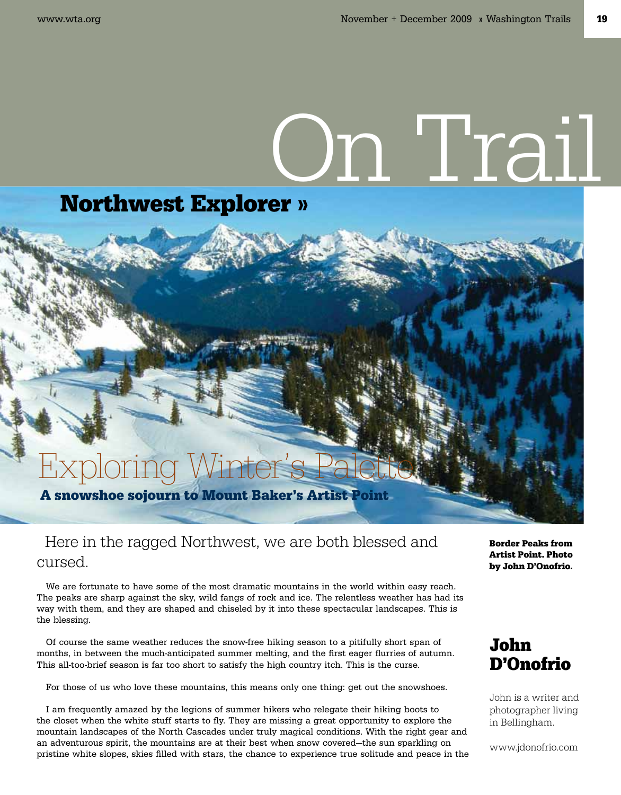# On Trail

### Northwest Explorer »

## A snowshoe sojourn to Mount Baker's Artist Point Exploring Winter's I

#### Here in the ragged Northwest, we are both blessed and cursed.

We are fortunate to have some of the most dramatic mountains in the world within easy reach. The peaks are sharp against the sky, wild fangs of rock and ice. The relentless weather has had its way with them, and they are shaped and chiseled by it into these spectacular landscapes. This is the blessing.

Of course the same weather reduces the snow-free hiking season to a pitifully short span of months, in between the much-anticipated summer melting, and the first eager flurries of autumn. This all-too-brief season is far too short to satisfy the high country itch. This is the curse.

For those of us who love these mountains, this means only one thing: get out the snowshoes.

I am frequently amazed by the legions of summer hikers who relegate their hiking boots to the closet when the white stuff starts to fly. They are missing a great opportunity to explore the mountain landscapes of the North Cascades under truly magical conditions. With the right gear and an adventurous spirit, the mountains are at their best when snow covered—the sun sparkling on pristine white slopes, skies filled with stars, the chance to experience true solitude and peace in the

Border Peaks from Artist Point. Photo by John D'Onofrio.

#### John D'Onofrio

John is a writer and photographer living in Bellingham.

www.jdonofrio.com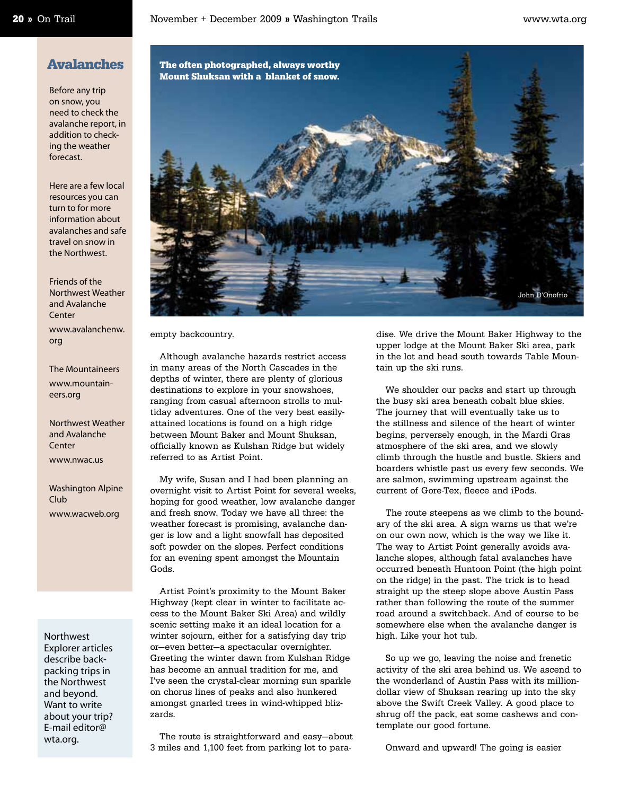#### Avalanches

Before any trip on snow, you need to check the avalanche report, in addition to checking the weather forecast.

Here are a few local resources you can turn to for more information about avalanches and safe travel on snow in the Northwest.

Friends of the Northwest Weather and Avalanche Center www.avalanchenw. org

The Mountaineers www.mountaineers.org

Northwest Weather and Avalanche **Center** 

www.nwac.us

Washington Alpine Club www.wacweb.org

#### Northwest Explorer articles

describe backpacking trips in the Northwest and beyond. Want to write about your trip? E-mail editor@ wta.org.



empty backcountry.

Although avalanche hazards restrict access in many areas of the North Cascades in the depths of winter, there are plenty of glorious destinations to explore in your snowshoes, ranging from casual afternoon strolls to multiday adventures. One of the very best easilyattained locations is found on a high ridge between Mount Baker and Mount Shuksan, officially known as Kulshan Ridge but widely referred to as Artist Point.

My wife, Susan and I had been planning an overnight visit to Artist Point for several weeks, hoping for good weather, low avalanche danger and fresh snow. Today we have all three: the weather forecast is promising, avalanche danger is low and a light snowfall has deposited soft powder on the slopes. Perfect conditions for an evening spent amongst the Mountain Gods.

Artist Point's proximity to the Mount Baker Highway (kept clear in winter to facilitate access to the Mount Baker Ski Area) and wildly scenic setting make it an ideal location for a winter sojourn, either for a satisfying day trip or—even better—a spectacular overnighter. Greeting the winter dawn from Kulshan Ridge has become an annual tradition for me, and I've seen the crystal-clear morning sun sparkle on chorus lines of peaks and also hunkered amongst gnarled trees in wind-whipped blizzards.

The route is straightforward and easy—about 3 miles and 1,100 feet from parking lot to paradise. We drive the Mount Baker Highway to the upper lodge at the Mount Baker Ski area, park in the lot and head south towards Table Mountain up the ski runs.

We shoulder our packs and start up through the busy ski area beneath cobalt blue skies. The journey that will eventually take us to the stillness and silence of the heart of winter begins, perversely enough, in the Mardi Gras atmosphere of the ski area, and we slowly climb through the hustle and bustle. Skiers and boarders whistle past us every few seconds. We are salmon, swimming upstream against the current of Gore-Tex, fleece and iPods.

The route steepens as we climb to the boundary of the ski area. A sign warns us that we're on our own now, which is the way we like it. The way to Artist Point generally avoids avalanche slopes, although fatal avalanches have occurred beneath Huntoon Point (the high point on the ridge) in the past. The trick is to head straight up the steep slope above Austin Pass rather than following the route of the summer road around a switchback. And of course to be somewhere else when the avalanche danger is high. Like your hot tub.

So up we go, leaving the noise and frenetic activity of the ski area behind us. We ascend to the wonderland of Austin Pass with its milliondollar view of Shuksan rearing up into the sky above the Swift Creek Valley. A good place to shrug off the pack, eat some cashews and contemplate our good fortune.

Onward and upward! The going is easier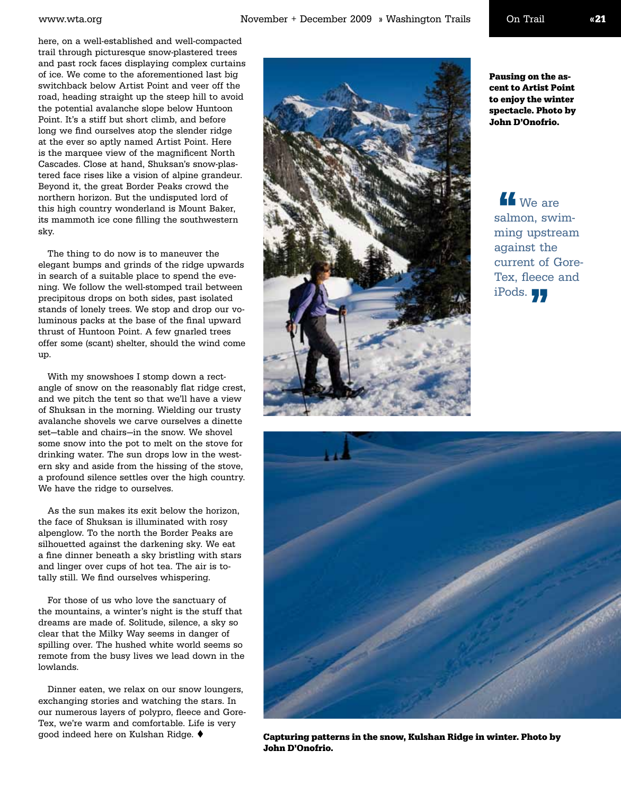here, on a well-established and well-compacted trail through picturesque snow-plastered trees and past rock faces displaying complex curtains of ice. We come to the aforementioned last big switchback below Artist Point and veer off the road, heading straight up the steep hill to avoid the potential avalanche slope below Huntoon Point. It's a stiff but short climb, and before long we find ourselves atop the slender ridge at the ever so aptly named Artist Point. Here is the marquee view of the magnificent North Cascades. Close at hand, Shuksan's snow-plastered face rises like a vision of alpine grandeur. Beyond it, the great Border Peaks crowd the northern horizon. But the undisputed lord of this high country wonderland is Mount Baker, its mammoth ice cone filling the southwestern sky.

The thing to do now is to maneuver the elegant bumps and grinds of the ridge upwards in search of a suitable place to spend the evening. We follow the well-stomped trail between precipitous drops on both sides, past isolated stands of lonely trees. We stop and drop our voluminous packs at the base of the final upward thrust of Huntoon Point. A few gnarled trees offer some (scant) shelter, should the wind come up.

With my snowshoes I stomp down a rectangle of snow on the reasonably flat ridge crest, and we pitch the tent so that we'll have a view of Shuksan in the morning. Wielding our trusty avalanche shovels we carve ourselves a dinette set—table and chairs—in the snow. We shovel some snow into the pot to melt on the stove for drinking water. The sun drops low in the western sky and aside from the hissing of the stove, a profound silence settles over the high country. We have the ridge to ourselves.

As the sun makes its exit below the horizon, the face of Shuksan is illuminated with rosy alpenglow. To the north the Border Peaks are silhouetted against the darkening sky. We eat a fine dinner beneath a sky bristling with stars and linger over cups of hot tea. The air is totally still. We find ourselves whispering.

For those of us who love the sanctuary of the mountains, a winter's night is the stuff that dreams are made of. Solitude, silence, a sky so clear that the Milky Way seems in danger of spilling over. The hushed white world seems so remote from the busy lives we lead down in the lowlands.

Dinner eaten, we relax on our snow loungers, exchanging stories and watching the stars. In our numerous layers of polypro, fleece and Gore-Tex, we're warm and comfortable. Life is very good indeed here on Kulshan Ridge.  $\blacklozenge$ 



Pausing on the ascent to Artist Point to enjoy the winter spectacle. Photo by John D'Onofrio.

**No** We are salmon, swimming upstream against the current of Gore-Tex, fleece and iPods. 77  $\frac{1}{\text{salm}}$ 



Capturing patterns in the snow, Kulshan Ridge in winter. Photo by John D'Onofrio.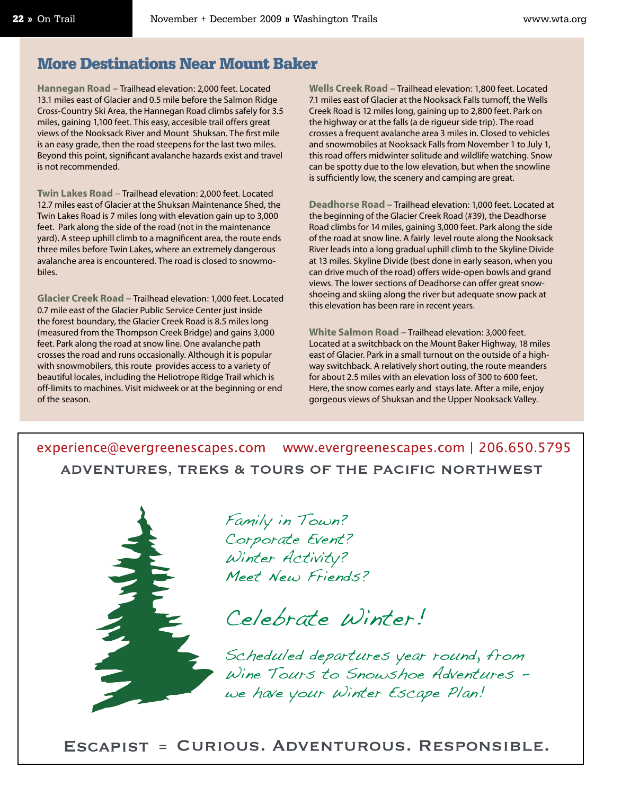#### More Destinations Near Mount Baker

**Hannegan Road –** Trailhead elevation: 2,000 feet. Located 13.1 miles east of Glacier and 0.5 mile before the Salmon Ridge Cross-Country Ski Area, the Hannegan Road climbs safely for 3.5 miles, gaining 1,100 feet. This easy, accesible trail offers great views of the Nooksack River and Mount Shuksan. The first mile is an easy grade, then the road steepens for the last two miles. Beyond this point, significant avalanche hazards exist and travel is not recommended.

**Twin Lakes Road** – Trailhead elevation: 2,000 feet. Located 12.7 miles east of Glacier at the Shuksan Maintenance Shed, the Twin Lakes Road is 7 miles long with elevation gain up to 3,000 feet. Park along the side of the road (not in the maintenance yard). A steep uphill climb to a magnificent area, the route ends three miles before Twin Lakes, where an extremely dangerous avalanche area is encountered. The road is closed to snowmobiles.

**Glacier Creek Road –** Trailhead elevation: 1,000 feet. Located 0.7 mile east of the Glacier Public Service Center just inside the forest boundary, the Glacier Creek Road is 8.5 miles long (measured from the Thompson Creek Bridge) and gains 3,000 feet. Park along the road at snow line. One avalanche path crosses the road and runs occasionally. Although it is popular with snowmobilers, this route provides access to a variety of beautiful locales, including the Heliotrope Ridge Trail which is off-limits to machines. Visit midweek or at the beginning or end of the season.

**Wells Creek Road –** Trailhead elevation: 1,800 feet. Located 7.1 miles east of Glacier at the Nooksack Falls turnoff, the Wells Creek Road is 12 miles long, gaining up to 2,800 feet. Park on the highway or at the falls (a de rigueur side trip). The road crosses a frequent avalanche area 3 miles in. Closed to vehicles and snowmobiles at Nooksack Falls from November 1 to July 1, this road offers midwinter solitude and wildlife watching. Snow can be spotty due to the low elevation, but when the snowline is sufficiently low, the scenery and camping are great.

**Deadhorse Road –** Trailhead elevation: 1,000 feet. Located at the beginning of the Glacier Creek Road (#39), the Deadhorse Road climbs for 14 miles, gaining 3,000 feet. Park along the side of the road at snow line. A fairly level route along the Nooksack River leads into a long gradual uphill climb to the Skyline Divide at 13 miles. Skyline Divide (best done in early season, when you can drive much of the road) offers wide-open bowls and grand views. The lower sections of Deadhorse can offer great snowshoeing and skiing along the river but adequate snow pack at this elevation has been rare in recent years.

**White Salmon Road –** Trailhead elevation: 3,000 feet. Located at a switchback on the Mount Baker Highway, 18 miles east of Glacier. Park in a small turnout on the outside of a highway switchback. A relatively short outing, the route meanders for about 2.5 miles with an elevation loss of 300 to 600 feet. Here, the snow comes early and stays late. After a mile, enjoy gorgeous views of Shuksan and the Upper Nooksack Valley.

ADVENTURES, TREKS & TOURS OF THE PACIFIC NORTHWEST



Family in Town? Corporate Event? Winter Activity? Meet New Friends?

Celebrate Winter!

Scheduled departures year round, from Wine Tours to Snowshoe Adventures we have your Winter Escape Plan!

ESCAPIST = CURIOUS. ADVENTUROUS. RESPONSIBLE.